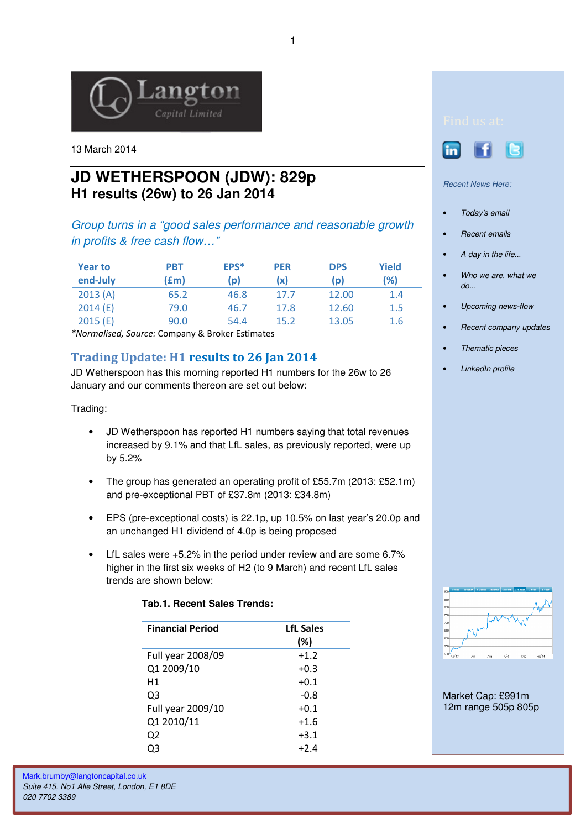

13 March 2014

## **JD WETHERSPOON (JDW): 829p H1 results (26w) to 26 Jan 2014**

Group turns in a "good sales performance and reasonable growth in profits & free cash flow…"

| <b>Year to</b><br>end-July | PBT<br>(£m) | EPS*<br>(p) | <b>PER</b><br>(x) | <b>DPS</b><br>(p) | Yield<br>(%) |
|----------------------------|-------------|-------------|-------------------|-------------------|--------------|
| 2013(A)                    | 65.2        | 46.8        | 17.7              | 12.00             | 1.4          |
| 2014(E)                    | 79.0        | 46.7        | 17.8              | 12.60             | 1.5          |
| 2015(E)                    | 90.0        | 54.4        | 15.2              | 13.05             | 1.6          |

\*Normalised, Source: Company & Broker Estimates

## Trading Update: H1 results to 26 Jan 2014

JD Wetherspoon has this morning reported H1 numbers for the 26w to 26 January and our comments thereon are set out below:

Trading:

- JD Wetherspoon has reported H1 numbers saying that total revenues increased by 9.1% and that LfL sales, as previously reported, were up by 5.2%
- The group has generated an operating profit of £55.7m (2013: £52.1m) and pre-exceptional PBT of £37.8m (2013: £34.8m)
- EPS (pre-exceptional costs) is 22.1p, up 10.5% on last year's 20.0p and an unchanged H1 dividend of 4.0p is being proposed
- LfL sales were +5.2% in the period under review and are some 6.7% higher in the first six weeks of H2 (to 9 March) and recent LfL sales trends are shown below:

| <b>Financial Period</b> | <b>LfL Sales</b><br>(%) |
|-------------------------|-------------------------|
| Full year 2008/09       | $+1.2$                  |
| Q1 2009/10              | $+0.3$                  |
| Η1                      | $+0.1$                  |
| Q3                      | $-0.8$                  |
| Full year 2009/10       | $+0.1$                  |
| Q1 2010/11              | $+1.6$                  |
| Q <sub>2</sub>          | $+3.1$                  |
| Q3                      | $+2.4$                  |

## **Tab.1. Recent Sales Trends:**





Recent News Here:

- Today's email
- **Recent emails**
- A day in the life...
- Who we are, what we  $do...$
- Upcoming news-flow
- Recent company updates
- Thematic pieces
- LinkedIn profile



Market Cap: £991m 12m range 505p 805p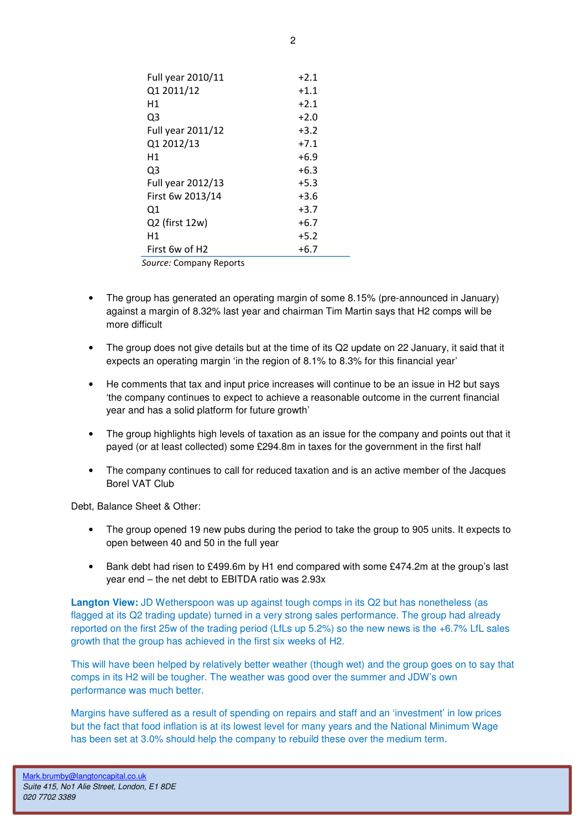| Full year 2010/11          | $+2.1$ |  |  |  |
|----------------------------|--------|--|--|--|
| Q1 2011/12                 | $+1.1$ |  |  |  |
| Н1                         | $+2.1$ |  |  |  |
| Q3                         | $+2.0$ |  |  |  |
| Full year 2011/12          | $+3.2$ |  |  |  |
| Q1 2012/13                 | $+7.1$ |  |  |  |
| Н1                         | $+6.9$ |  |  |  |
| Q3                         | $+6.3$ |  |  |  |
| Full year 2012/13          | $+5.3$ |  |  |  |
| First 6w 2013/14           | $+3.6$ |  |  |  |
| Q1                         | $+3.7$ |  |  |  |
| Q2 (first 12w)             | $+6.7$ |  |  |  |
| Η1                         | $+5.2$ |  |  |  |
| First 6w of H <sub>2</sub> | $+6.7$ |  |  |  |
| Source: Company Reports    |        |  |  |  |

• The group has generated an operating margin of some 8.15% (pre-announced in January) against a margin of 8.32% last year and chairman Tim Martin says that H2 comps will be more difficult

- The group does not give details but at the time of its Q2 update on 22 January, it said that it expects an operating margin 'in the region of 8.1% to 8.3% for this financial year'
- He comments that tax and input price increases will continue to be an issue in H2 but says 'the company continues to expect to achieve a reasonable outcome in the current financial year and has a solid platform for future growth'
- The group highlights high levels of taxation as an issue for the company and points out that it payed (or at least collected) some £294.8m in taxes for the government in the first half
- The company continues to call for reduced taxation and is an active member of the Jacques Borel VAT Club

Debt, Balance Sheet & Other:

- The group opened 19 new pubs during the period to take the group to 905 units. It expects to open between 40 and 50 in the full year
- Bank debt had risen to £499.6m by H1 end compared with some £474.2m at the group's last year end – the net debt to EBITDA ratio was 2.93x

**Langton View:** JD Wetherspoon was up against tough comps in its Q2 but has nonetheless (as flagged at its Q2 trading update) turned in a very strong sales performance. The group had already reported on the first 25w of the trading period (LfLs up 5.2%) so the new news is the +6.7% LfL sales growth that the group has achieved in the first six weeks of H2.

This will have been helped by relatively better weather (though wet) and the group goes on to say that comps in its H2 will be tougher. The weather was good over the summer and JDW's own performance was much better.

Margins have suffered as a result of spending on repairs and staff and an 'investment' in low prices but the fact that food inflation is at its lowest level for many years and the National Minimum Wage has been set at 3.0% should help the company to rebuild these over the medium term.